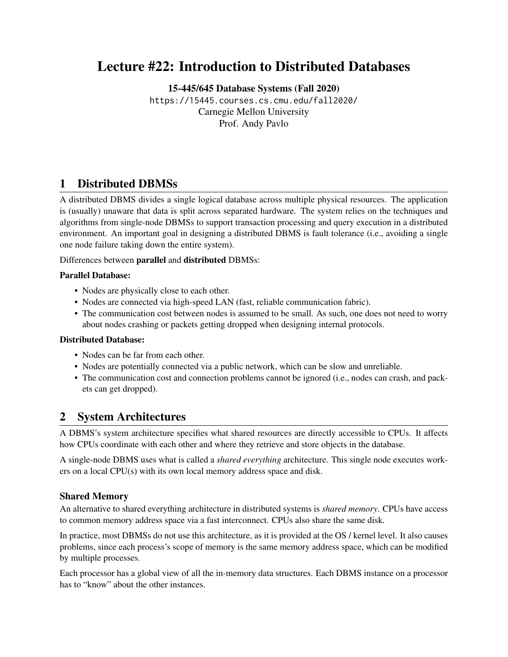# Lecture #22: Introduction to Distributed Databases

[15-445/645 Database Systems \(Fall 2020\)](https://15445.courses.cs.cmu.edu/fall2020/)

<https://15445.courses.cs.cmu.edu/fall2020/> Carnegie Mellon University [Prof. Andy Pavlo](http://www.cs.cmu.edu/~pavlo/)

# 1 Distributed DBMSs

A distributed DBMS divides a single logical database across multiple physical resources. The application is (usually) unaware that data is split across separated hardware. The system relies on the techniques and algorithms from single-node DBMSs to support transaction processing and query execution in a distributed environment. An important goal in designing a distributed DBMS is fault tolerance (i.e., avoiding a single one node failure taking down the entire system).

Differences between parallel and distributed DBMSs:

#### Parallel Database:

- Nodes are physically close to each other.
- Nodes are connected via high-speed LAN (fast, reliable communication fabric).
- The communication cost between nodes is assumed to be small. As such, one does not need to worry about nodes crashing or packets getting dropped when designing internal protocols.

#### Distributed Database:

- Nodes can be far from each other.
- Nodes are potentially connected via a public network, which can be slow and unreliable.
- The communication cost and connection problems cannot be ignored (i.e., nodes can crash, and packets can get dropped).

### 2 System Architectures

A DBMS's system architecture specifies what shared resources are directly accessible to CPUs. It affects how CPUs coordinate with each other and where they retrieve and store objects in the database.

A single-node DBMS uses what is called a *shared everything* architecture. This single node executes workers on a local CPU(s) with its own local memory address space and disk.

#### Shared Memory

An alternative to shared everything architecture in distributed systems is *shared memory*. CPUs have access to common memory address space via a fast interconnect. CPUs also share the same disk.

In practice, most DBMSs do not use this architecture, as it is provided at the OS / kernel level. It also causes problems, since each process's scope of memory is the same memory address space, which can be modified by multiple processes.

Each processor has a global view of all the in-memory data structures. Each DBMS instance on a processor has to "know" about the other instances.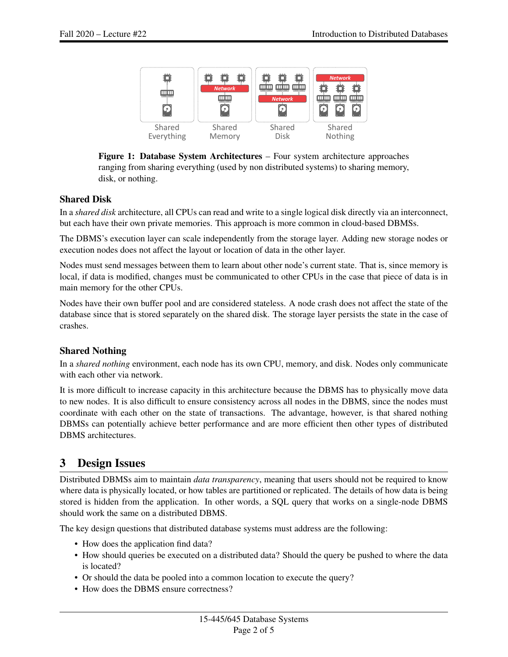

Figure 1: Database System Architectures – Four system architecture approaches ranging from sharing everything (used by non distributed systems) to sharing memory, disk, or nothing.

### Shared Disk

In a *shared disk* architecture, all CPUs can read and write to a single logical disk directly via an interconnect, but each have their own private memories. This approach is more common in cloud-based DBMSs.

The DBMS's execution layer can scale independently from the storage layer. Adding new storage nodes or execution nodes does not affect the layout or location of data in the other layer.

Nodes must send messages between them to learn about other node's current state. That is, since memory is local, if data is modified, changes must be communicated to other CPUs in the case that piece of data is in main memory for the other CPUs.

Nodes have their own buffer pool and are considered stateless. A node crash does not affect the state of the database since that is stored separately on the shared disk. The storage layer persists the state in the case of crashes.

### Shared Nothing

In a *shared nothing* environment, each node has its own CPU, memory, and disk. Nodes only communicate with each other via network.

It is more difficult to increase capacity in this architecture because the DBMS has to physically move data to new nodes. It is also difficult to ensure consistency across all nodes in the DBMS, since the nodes must coordinate with each other on the state of transactions. The advantage, however, is that shared nothing DBMSs can potentially achieve better performance and are more efficient then other types of distributed DBMS architectures.

### 3 Design Issues

Distributed DBMSs aim to maintain *data transparency*, meaning that users should not be required to know where data is physically located, or how tables are partitioned or replicated. The details of how data is being stored is hidden from the application. In other words, a SQL query that works on a single-node DBMS should work the same on a distributed DBMS.

The key design questions that distributed database systems must address are the following:

- How does the application find data?
- How should queries be executed on a distributed data? Should the query be pushed to where the data is located?
- Or should the data be pooled into a common location to execute the query?
- How does the DBMS ensure correctness?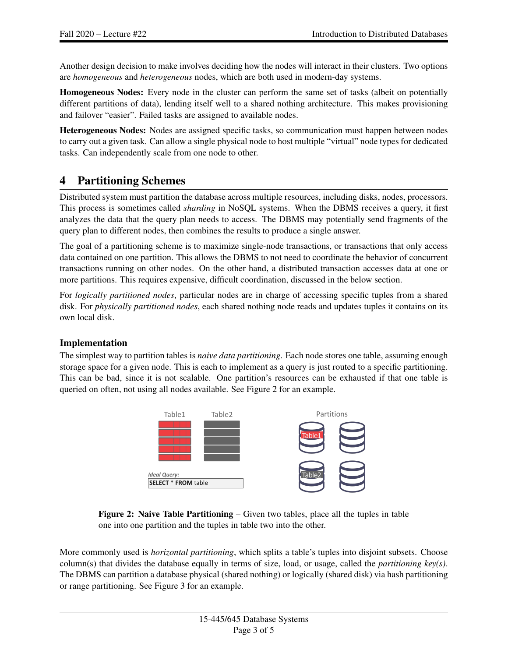Another design decision to make involves deciding how the nodes will interact in their clusters. Two options are *homogeneous* and *heterogeneous* nodes, which are both used in modern-day systems.

Homogeneous Nodes: Every node in the cluster can perform the same set of tasks (albeit on potentially different partitions of data), lending itself well to a shared nothing architecture. This makes provisioning and failover "easier". Failed tasks are assigned to available nodes.

Heterogeneous Nodes: Nodes are assigned specific tasks, so communication must happen between nodes to carry out a given task. Can allow a single physical node to host multiple "virtual" node types for dedicated tasks. Can independently scale from one node to other.

# 4 Partitioning Schemes

Distributed system must partition the database across multiple resources, including disks, nodes, processors. This process is sometimes called *sharding* in NoSQL systems. When the DBMS receives a query, it first analyzes the data that the query plan needs to access. The DBMS may potentially send fragments of the query plan to different nodes, then combines the results to produce a single answer.

The goal of a partitioning scheme is to maximize single-node transactions, or transactions that only access data contained on one partition. This allows the DBMS to not need to coordinate the behavior of concurrent transactions running on other nodes. On the other hand, a distributed transaction accesses data at one or more partitions. This requires expensive, difficult coordination, discussed in the below section.

For *logically partitioned nodes*, particular nodes are in charge of accessing specific tuples from a shared disk. For *physically partitioned nodes*, each shared nothing node reads and updates tuples it contains on its own local disk.

### Implementation

<span id="page-2-0"></span>The simplest way to partition tables is *naive data partitioning*. Each node stores one table, assuming enough storage space for a given node. This is each to implement as a query is just routed to a specific partitioning. This can be bad, since it is not scalable. One partition's resources can be exhausted if that one table is queried on often, not using all nodes available. See [Figure 2](#page-2-0) for an example.



Figure 2: Naive Table Partitioning – Given two tables, place all the tuples in table one into one partition and the tuples in table two into the other.

More commonly used is *horizontal partitioning*, which splits a table's tuples into disjoint subsets. Choose column(s) that divides the database equally in terms of size, load, or usage, called the *partitioning key(s)*. The DBMS can partition a database physical (shared nothing) or logically (shared disk) via hash partitioning or range partitioning. See [Figure 3](#page-3-0) for an example.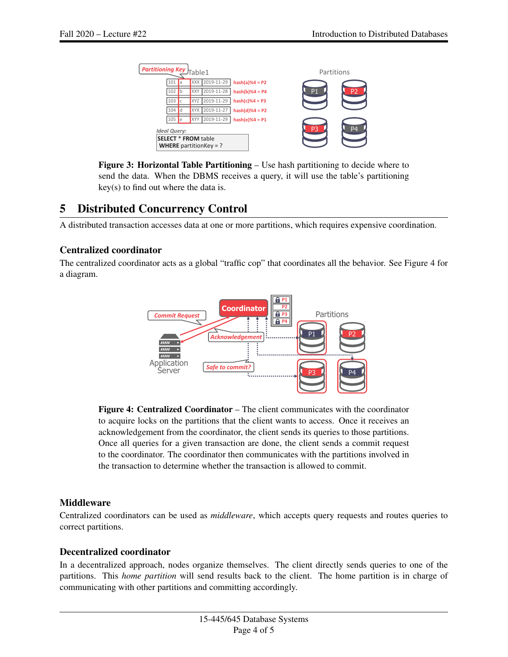<span id="page-3-0"></span>

Figure 3: Horizontal Table Partitioning – Use hash partitioning to decide where to send the data. When the DBMS receives a query, it will use the table's partitioning key(s) to find out where the data is.

# 5 Distributed Concurrency Control

A distributed transaction accesses data at one or more partitions, which requires expensive coordination.

### Centralized coordinator

<span id="page-3-1"></span>The centralized coordinator acts as a global "traffic cop" that coordinates all the behavior. See [Figure 4](#page-3-1) for a diagram.



Figure 4: Centralized Coordinator – The client communicates with the coordinator to acquire locks on the partitions that the client wants to access. Once it receives an acknowledgement from the coordinator, the client sends its queries to those partitions. Once all queries for a given transaction are done, the client sends a commit request to the coordinator. The coordinator then communicates with the partitions involved in the transaction to determine whether the transaction is allowed to commit.

### **Middleware**

Centralized coordinators can be used as *middleware*, which accepts query requests and routes queries to correct partitions.

### Decentralized coordinator

In a decentralized approach, nodes organize themselves. The client directly sends queries to one of the partitions. This *home partition* will send results back to the client. The home partition is in charge of communicating with other partitions and committing accordingly.